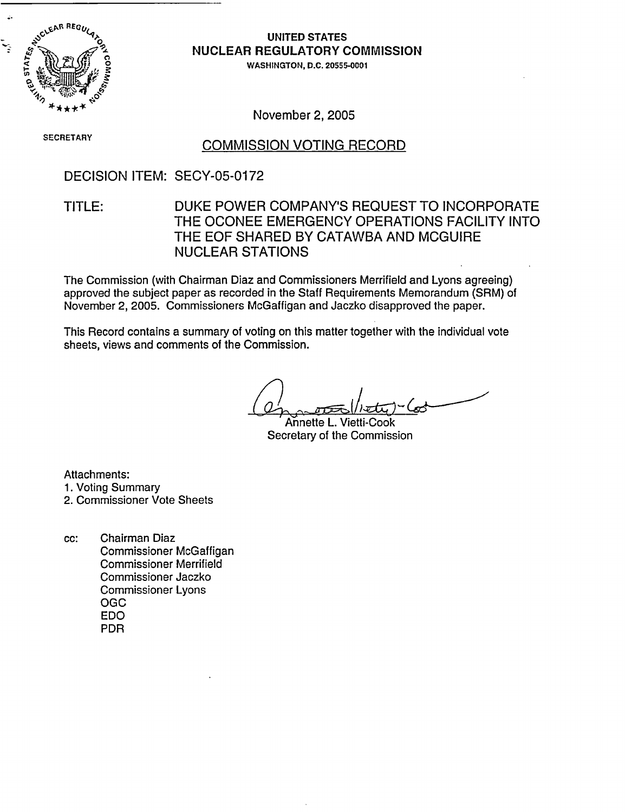

### **UNITED STATES NUCLEAR REGULATORY** COMMISSION

WASHINGTON, D.C. 20555-0001

November 2, 2005

# SECRETARY COMMISSION VOTING RECORD

### DECISION ITEM: SECY-05-0172

### TITLE: DUKE POWER COMPANY'S REQUEST TO INCORPORATE THE OCONEE EMERGENCY OPERATIONS FACILITY INTO THE EOF SHARED BY CATAWBA AND MCGUIRE NUCLEAR STATIONS

The Commission (with Chairman Diaz and Commissioners Merrifield and Lyons agreeing) approved the subject paper as recorded in the Staff Requirements Memorandum (SRM) of November 2, 2005. Commissioners McGaffigan and Jaczko disapproved the paper.

This Record contains a summary of voting on this matter together with the individual vote sheets, views and comments of the Commission.

Annette L. Vietti-Cook Secretary of the Commission

Attachments:

- 1. Voting Summary
- 2. Commissioner Vote Sheets
- cc: Chairman Diaz Commissioner McGaffigan Commissioner Merrifield Commissioner Jaczko Commissioner Lyons OGC EDO PDR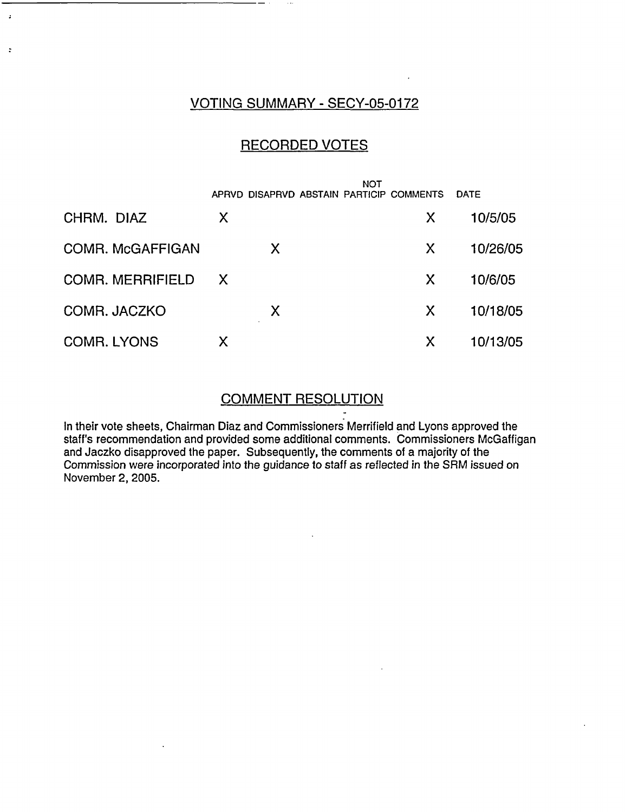### VOTING SUMMARY - SECY-05-0172

 $\ddot{z}$ 

### RECORDED VOTES

|                         |              | APRVD DISAPRVD ABSTAIN PARTICIP COMMENTS | <b>NOT</b> |   | <b>DATE</b> |
|-------------------------|--------------|------------------------------------------|------------|---|-------------|
| CHRM. DIAZ              | X            |                                          |            | X | 10/5/05     |
| <b>COMR. McGAFFIGAN</b> |              | X                                        |            | X | 10/26/05    |
| <b>COMR. MERRIFIELD</b> | $\mathsf{X}$ |                                          |            | X | 10/6/05     |
| COMR. JACZKO            |              | X                                        |            | X | 10/18/05    |
| <b>COMR. LYONS</b>      | Χ            |                                          |            | X | 10/13/05    |

### COMMENT RESOLUTION

In their vote sheets, Chairman Diaz and Commissioners Merrifield and Lyons approved the staff's recommendation and provided some additional comments. Commissioners McGaffigan and Jaczko disapproved the paper. Subsequently, the comments of a majority of the Commission were incorporated into the guidance to staff as reflected in the SRM issued on November 2, 2005.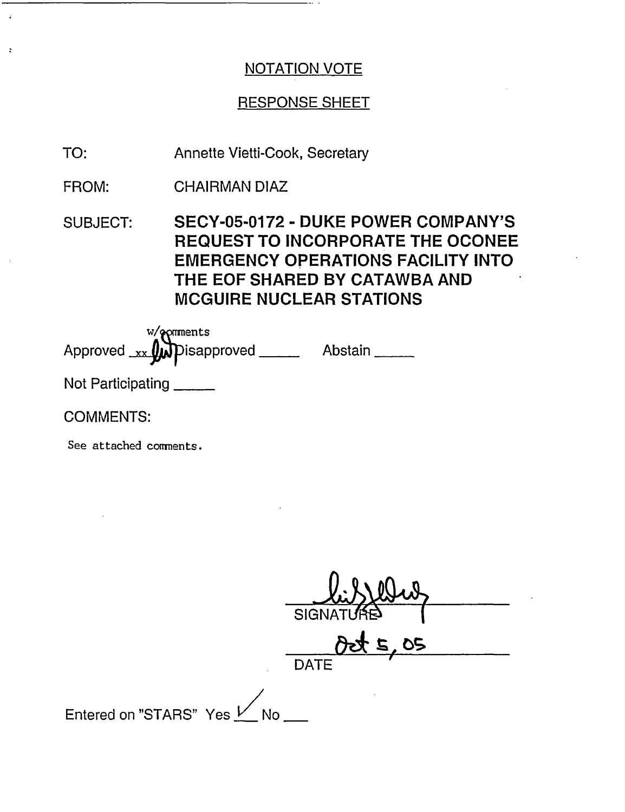# RESPONSE SHEET

TO: Annette Vietti-Cook, Secretary

FROM: CHAIRMAN DIAZ

SUBJECT: SECY-05-0172 - DUKE POWER COMPANY'S REQUEST TO INCORPORATE THE OCONEE EMERGENCY OPERATIONS FACILITY INTO THE EOF SHARED BY CATAWBA AND MCGUIRE NUCLEAR STATIONS

w/@pmments Approved xx **(M)** Disapproved \_\_\_\_\_\_\_\_\_ Abstain

Not Participating

COMMENTS:

 $\ddot{\cdot}$ 

See attached comments.

**SIGN DATE** Entered on "STARS" Yes V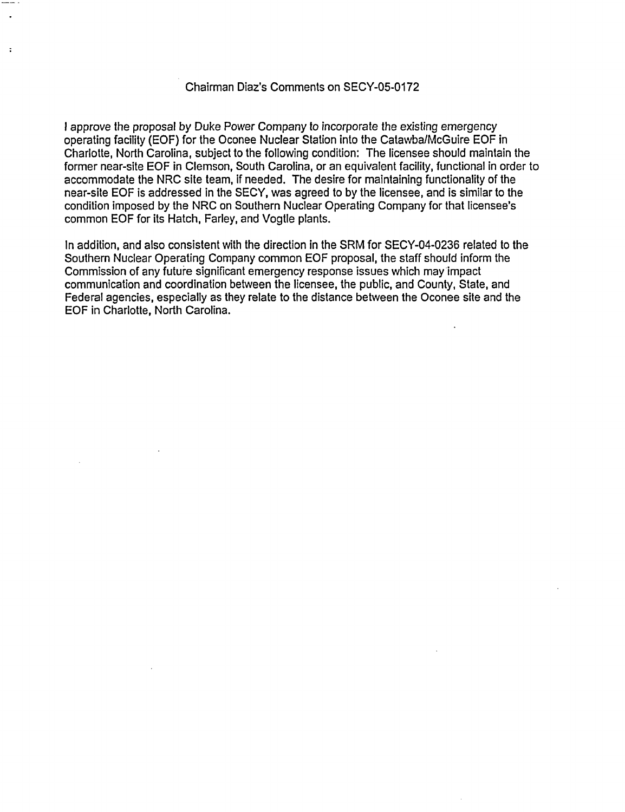#### Chairman Diaz's Comments on SECY-05-0172

 $\ddot{\phantom{a}}$ 

I approve the proposal by Duke Power Company to incorporate the existing emergency operating facility (EOF) for the Oconee Nuclear Station into the Catawba/McGuire EOF in Charlotte, North Carolina, subject to the following condition: The licensee should maintain the former near-site EOF in Clemson, South Carolina, or an equivalent facility, functional in order to accommodate the NRC site team, if needed. The desire for maintaining functionality of the near-site EOF is addressed in the SECY, was agreed to by the licensee, and is similar to the condition imposed by the NRC on Southern Nuclear Operating Company for that licensee's common EOF for its Hatch, Farley, and Vogtle plants.

In addition, and also consistent with the direction in the SRM for SECY-04-0236 related to the Southern Nuclear Operating Company common EOF proposal, the staff should inform the Commission of any future significant emergency response issues which may impact communication and coordination between the licensee, the public, and County, State, and Federal agencies, especially as they relate to the distance between the Oconee site and the EOF in Charlotte, North Carolina.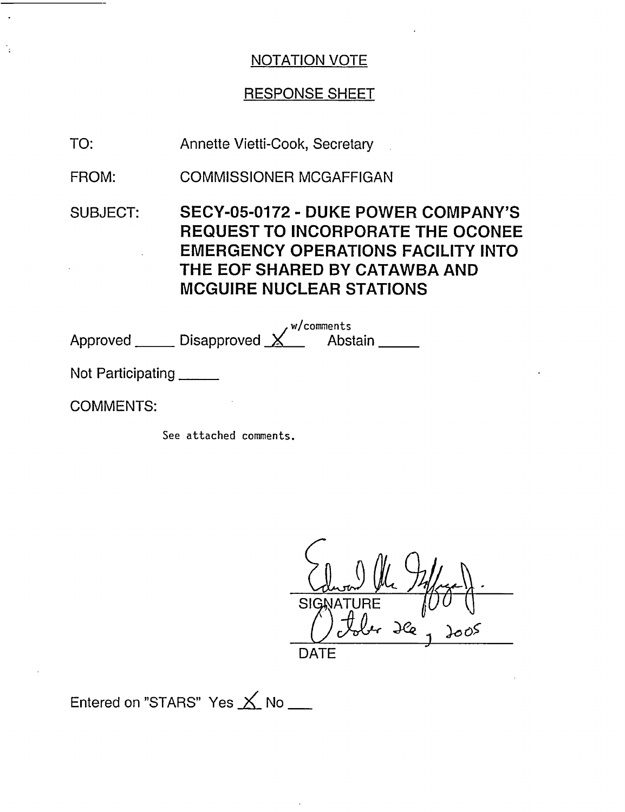## RESPONSE SHEET

TO: Annette Vietti-Cook, Secretary

FROM: COMMISSIONER MCGAFFIGAN

SUBJECT: SECY-05-0172 - DUKE POWER COMPANY'S REQUEST TO INCORPORATE THE OCONEE EMERGENCY OPERATIONS FACILITY INTO THE EOF SHARED BY CATAWBA AND MCGUIRE NUCLEAR STATIONS

Approved <sub>-</sub> w/comments Disapproved  $\underline{\times}$  Abstain

Not Participating

COMMENTS:

See attached comments.

SIGNATURE  $J\mathcal{C}_{Q}$ *ft* DATE

Entered on "STARS" Yes  $\times$  No \_\_\_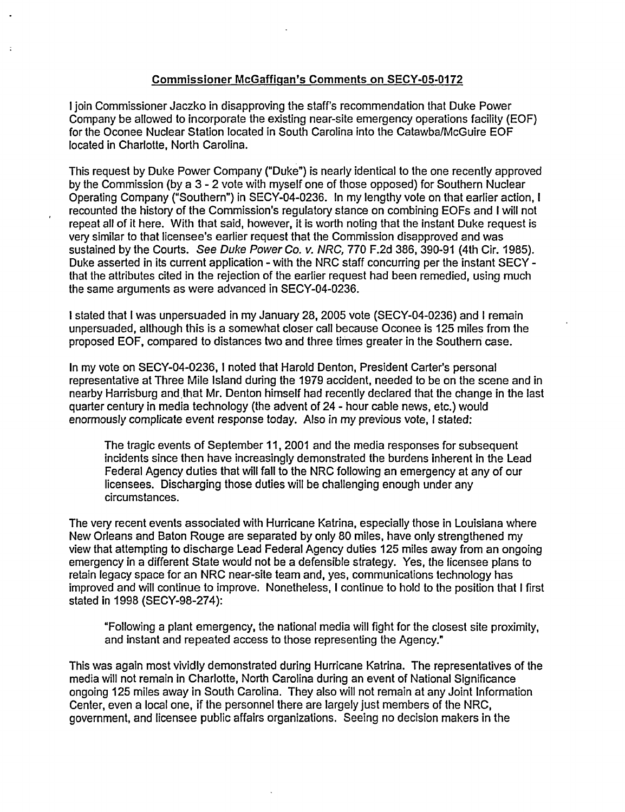#### Commissioner McGaffiqan's Comments on **SECY-05-0172**

I join Commissioner Jaczko in disapproving the staff's recommendation that Duke Power Company be allowed to incorporate the existing near-site emergency operations facility (EOF) for the Oconee Nuclear Station located in South Carolina into the Catawba/McGuire EOF located in Charlotte, North Carolina.

This request by Duke Power Company ("Duke") is nearly identical to the one recently approved by the Commission (by a 3 - 2 vote with myself one of those opposed) for Southern Nuclear Operating Company ("Southern") in SECY-04-0236. In my lengthy vote on that earlier action, I recounted the history of the Commission's regulatory stance on combining EOFs and I will not repeat all of it here. With that said, however, it is worth noting that the instant Duke request is very similar to that licensee's earlier request that the Commission disapproved and was sustained by the Courts. See Duke Power Co. v. NRC, 770 F.2d 386, 390-91 (4th Cir. 1985). Duke asserted in its current application - with the NRC staff concurring per the instant SECY that the attributes cited in the rejection of the earlier request had been remedied, using much the same arguments as were advanced in SECY-04-0236.

I stated that I was unpersuaded in my January 28, 2005 vote (SECY-04-0236) and I remain unpersuaded, although this is a somewhat closer call because Oconee is 125 miles from the proposed EOF, compared to distances two and three times greater in the Southern case.

In my vote on SECY-04-0236, I noted that Harold Denton, President Carter's personal representative at Three Mile Island during the 1979 accident, needed to be on the scene and in nearby Harrisburg and that Mr. Denton himself had recently declared that the change in the last quarter century in media technology (the advent of 24 - hour cable news, etc.) would enormously complicate event response today. Also in my previous vote, I stated:

The tragic events of September 11, 2001 and the media responses for subsequent incidents since then have increasingly demonstrated the burdens inherent in the Lead Federal Agency duties that will fall to the NRC following an emergency at any of our licensees. Discharging those duties will be challenging enough under any circumstances.

The very recent events associated with Hurricane Katrina, especially those in Louisiana where New Orleans and Baton Rouge are separated by only 80 miles, have only strengthened my view that attempting to discharge Lead Federal Agency duties 125 miles away from an ongoing emergency in a different State would not be a defensible strategy. Yes, the licensee plans to retain legacy space for an NRC near-site team and, yes, communications technology has improved and will continue to improve. Nonetheless, I continue to hold to the position that I first stated in 1998 (SECY-98-274):

"Following a plant emergency, the national media will fight for the closest site proximity, and instant and repeated access to those representing the Agency."

This was again most vividly demonstrated during Hurricane Katrina. The representatives of the media will not remain in Charlotte, North Carolina during an event of National Significance ongoing 125 miles away in South Carolina. They also will not remain at any Joint Information Center, even a local one, if the personnel there are largely just members of the NRC, government, and licensee public affairs organizations. Seeing no decision makers in the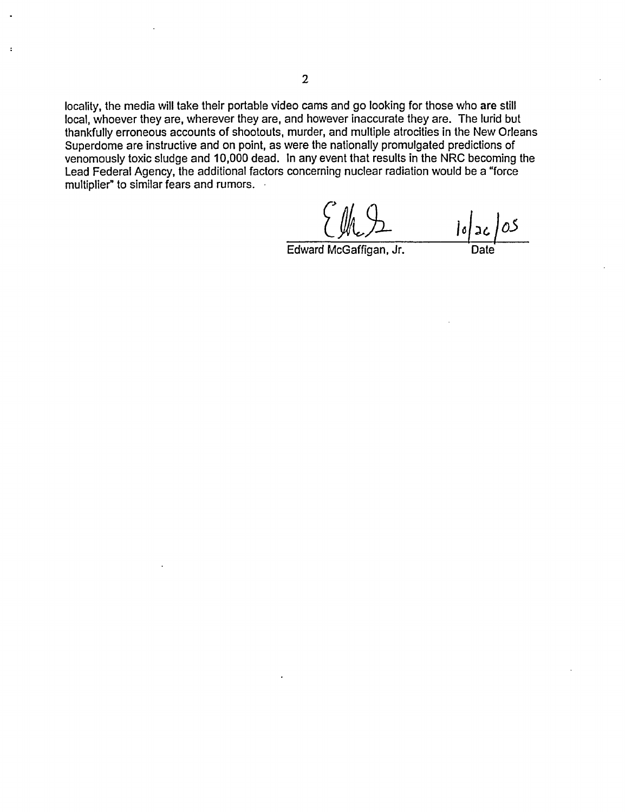locality, the media will take their portable video cams and go looking for those who are still local, whoever they are, wherever they are, and however inaccurate they are. The lurid but thankfully erroneous accounts of shootouts, murder, and multiple atrocities in the New Orleans Superdome are instructive and on point, as were the nationally promulgated predictions of venomously toxic sludge and 10,000 dead. In any event that results in the NRC becoming the Lead Federal Agency, the additional factors concerning nuclear radiation would be a "force multiplier" to similar fears and rumors.

 $\log 26/05$ 

Edward McGaffigan, Jr.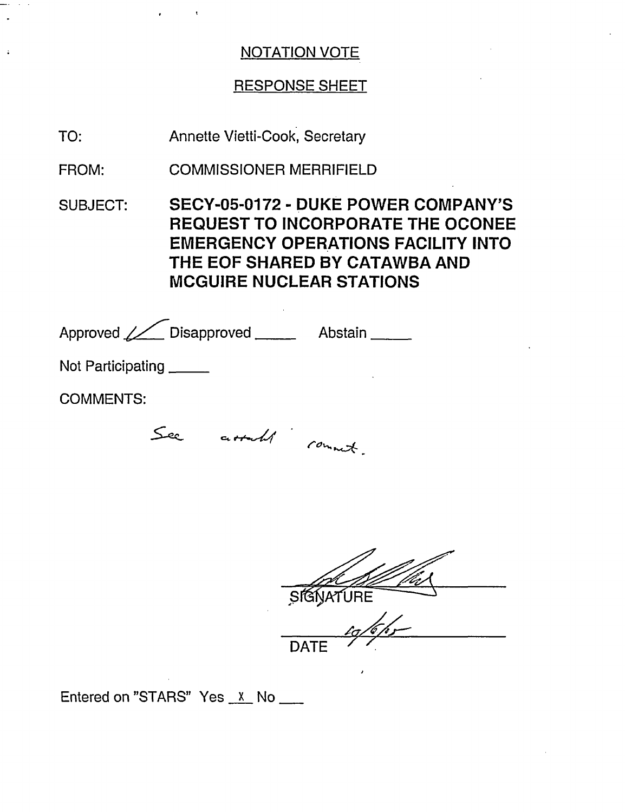## RESPONSE SHEET

TO: Annette Vietti-Cook, Secretary

FROM: COMMISSIONER MERRIFIELD

SUBJECT: SECY-05-0172 - DUKE POWER COMPANY'S REQUEST TO INCORPORATE THE OCONEE EMERGENCY OPERATIONS FACILITY INTO THE EOF SHARED BY CATAWBA AND MCGUIRE NUCLEAR STATIONS

| Approved / Disapproved _____ | Abstain ______ |
|------------------------------|----------------|
| Not Participating            |                |
| <b>COMMENTS:</b>             |                |
| assall comment               |                |

SIGNATURE DATE  $\frac{1}{2}$ 

Entered on "STARS" Yes  $x$  No  $\frac{1}{x}$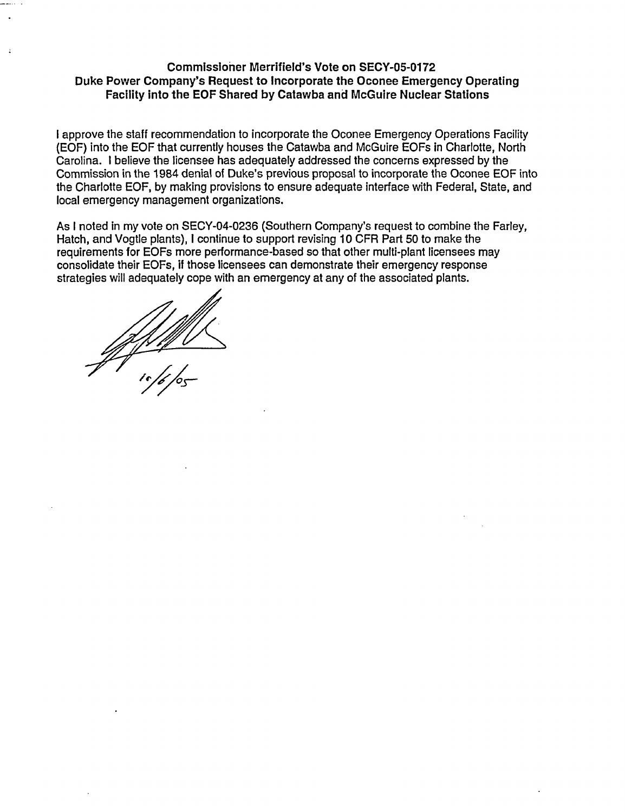#### **Commissioner Merrifield's Vote on SECY-05-0172 Duke Power Company's Request to Incorporate the Oconee Emergency Operating Facility into the EOF Shared by Catawba and McGuire Nuclear Stations**

I approve the staff recommendation to incorporate the Oconee Emergency Operations Facility (EOF) into the EOF that currently houses the Catawba and McGuire EOFs in Charlotte, North Carolina. I believe the licensee has adequately addressed the concerns expressed by the Commission in the 1984 denial of Duke's previous proposal to incorporate the Oconee EOF into the Charlotte EOF, by making provisions to ensure adequate interface with Federal, State, and local emergency management organizations.

As I noted in my vote on SECY-04-0236 (Southern Company's request to combine the Farley, Hatch, and Vogtle plants), I continue to support revising 10 CFR Part 50 to make the requirements for EOFs more performance-based so that other multi-plant licensees may consolidate their EOFs, if those licensees can demonstrate their emergency response strategies will adequately cope with an emergency at any of the associated plants.

~/4 */s-S-*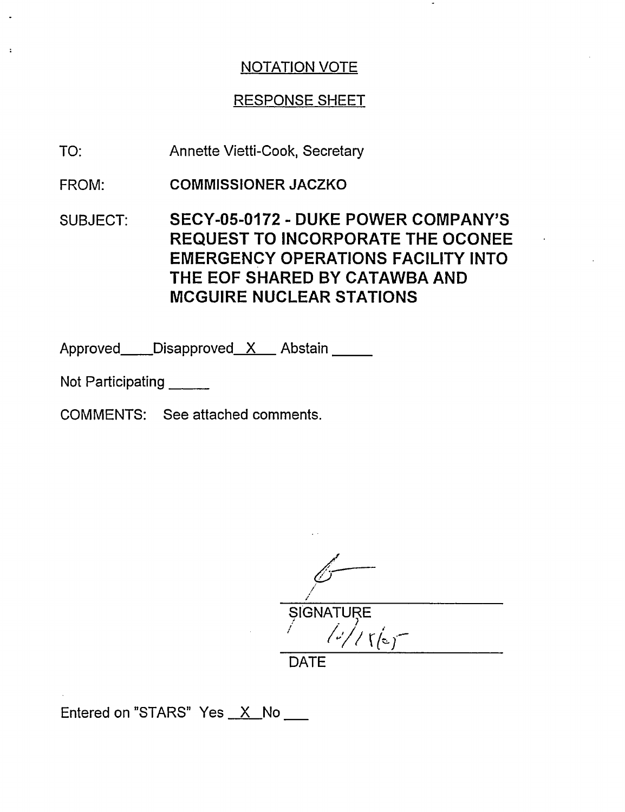## RESPONSE SHEET

- TO: Annette Vietti-Cook, Secretary
- FROM: **COMMISSIONER JACZKO**
- SUBJECT: SECY-05-0172 DUKE POWER COMPANY'S REQUEST TO INCORPORATE THE OCONEE EMERGENCY OPERATIONS FACILITY INTO THE EOF SHARED BY CATAWBA AND MCGUIRE NUCLEAR STATIONS

Approved Disapproved X Abstain

- Not Participating
- COMMENTS: See attached comments.

*f* / **SIGNATURE**  $\sqrt{\frac{1}{2}}$ **'I**

DATE

Entered on "STARS" Yes X No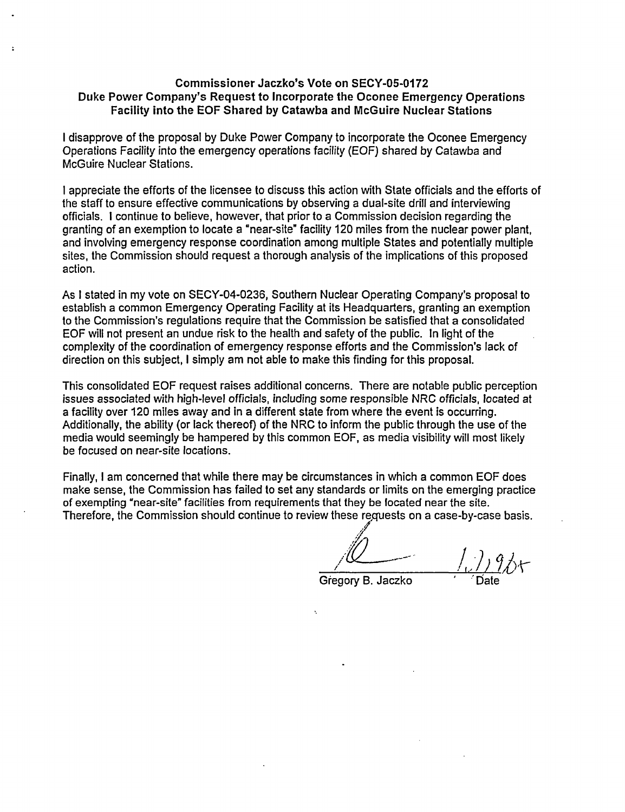#### **Commissioner Jaczko's Vote on SECY-05-0172 Duke Power Company's Request to Incorporate the** Oconee **Emergency** Operations **Facility into the EOF Shared by Catawba and McGuire Nuclear Stations**

I disapprove of the proposal by Duke Power Company to incorporate the Oconee Emergency Operations Facility into the emergency operations facility (EOF) shared by Catawba and McGuire Nuclear Stations.

I appreciate the efforts of the licensee to discuss this action with State officials and the efforts of the staff to ensure effective communications by observing a dual-site drill and interviewing officials. I continue to believe, however, that prior to a Commission decision regarding the granting of an exemption to locate a 'near-site' facility 120 miles from the nuclear power plant, and involving emergency response coordination among multiple States and potentially multiple sites, the Commission should request a thorough analysis of the implications of this proposed action.

As I stated in my vote on SECY-04-0236, Southern Nuclear Operating Company's proposal to establish a common Emergency Operating Facility at its Headquarters, granting an exemption to the Commission's regulations require that the Commission be satisfied that a consolidated EOF will not present an undue risk to the health and safety of the public. In light of the complexity of the coordination of emergency response efforts and the Commission's lack of direction on this subject, I simply am not able to make this finding for this proposal.

This consolidated EOF request raises additional concerns. There are notable public perception issues associated with high-level officials, including some responsible NRC officials, located at a facility over 120 miles away and in a different state from where the event is occurring. Additionally, the ability (or lack thereof) of the NRC to inform the public through the use of the media would seemingly be hampered by this common EOF, as media visibility will most likely be focused on near-site locations.

Finally, I am concerned that while there may be circumstances in which a common EOF does make sense, the Commission has failed to set any standards or limits on the emerging practice of exempting 'near-site" facilities from requirements that they be located near the site. Therefore, the Commission should continue to review these requests on a case-by-case basis.

*'/2* )

Gregory B. Jaczko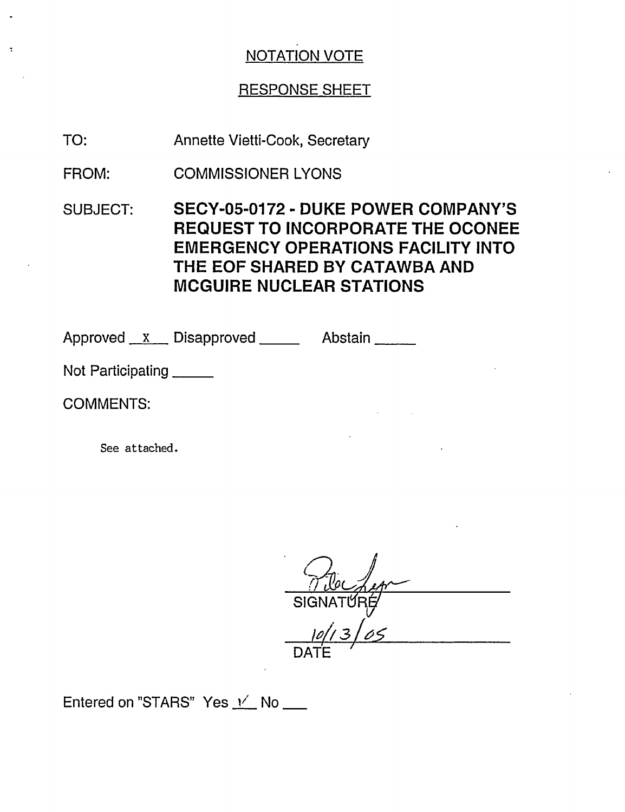# RESPONSE SHEET

TO: Annette Vietti-Cook, Secretary

FROM: COMMISSIONER LYONS

SUBJECT: SECY-05-0172 - DUKE POWER COMPANY'S REQUEST TO INCORPORATE THE OCONEE EMERGENCY OPERATIONS FACILITY INTO THE EOF SHARED BY CATAWBA AND MCGUIRE NUCLEAR STATIONS

Approved <u>x Disapproved</u> Abstain 2008

Not Participating \_\_\_\_\_\_

COMMENTS:

See attached.

SIGNATƯRÉ <u>10/13/05</u> DATE

Entered on "STARS" Yes  $\frac{1}{10}$  No \_\_\_